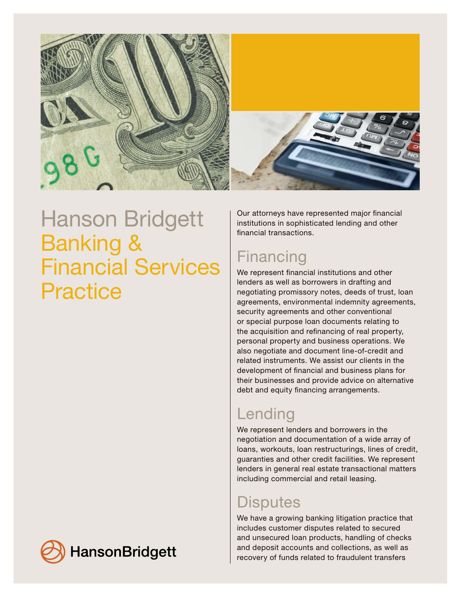

# Hanson Bridgett Banking & Financial Services **Practice**

**HansonBridgett** 

Our attorneys have represented major financial institutions in sophisticated lending and other financial transactions.

### **Financing**

We represent financial institutions and other lenders as well as borrowers in drafting and negotiating promissory notes, deeds of trust, loan agreements, environmental indemnity agreements, security agreements and other conventional or special purpose loan documents relating to the acquisition and refinancing of real property, personal property and business operations. We also negotiate and document line-of-credit and related instruments. We assist our clients in the development of financial and business plans for their businesses and provide advice on alternative debt and equity financing arrangements.

## Lending

We represent lenders and borrowers in the negotiation and documentation of a wide array of loans, workouts, loan restructurings, lines of credit, guaranties and other credit facilities. We represent lenders in general real estate transactional matters including commercial and retail leasing.

### Disputes

We have a growing banking litigation practice that includes customer disputes related to secured and unsecured loan products, handling of checks and deposit accounts and collections, as well as recovery of funds related to fraudulent transfers